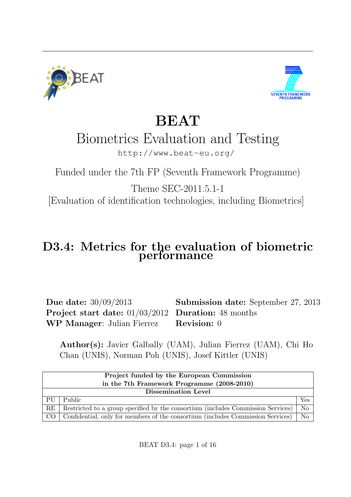



## BEAT

## Biometrics Evaluation and Testing http://www.beat-eu.org/

Funded under the 7th FP (Seventh Framework Programme)

Theme SEC-2011.5.1-1 [Evaluation of identification technologies, including Biometrics]

# D3.4: Metrics for the evaluation of biometric performance

Project start date: 01/03/2012 Duration: 48 months WP Manager: Julian Fierrez Revision: 0

Due date:  $30/09/2013$  Submission date: September 27, 2013

Author(s): Javier Galbally (UAM), Julian Fierrez (UAM), Chi Ho Chan (UNIS), Norman Poh (UNIS), Josef Kittler (UNIS)

| Project funded by the European Commission |                                                                                  |     |  |  |  |
|-------------------------------------------|----------------------------------------------------------------------------------|-----|--|--|--|
|                                           | in the 7th Framework Programme (2008-2010)                                       |     |  |  |  |
| <b>Dissemination Level</b>                |                                                                                  |     |  |  |  |
| PU                                        | Public                                                                           | Yes |  |  |  |
| RE                                        | Restricted to a group specified by the consortium (includes Commission Services) | No  |  |  |  |
| CO                                        | Confidential, only for members of the consortium (includes Commission Services)  | No  |  |  |  |

BEAT D3.4: page 1 of 16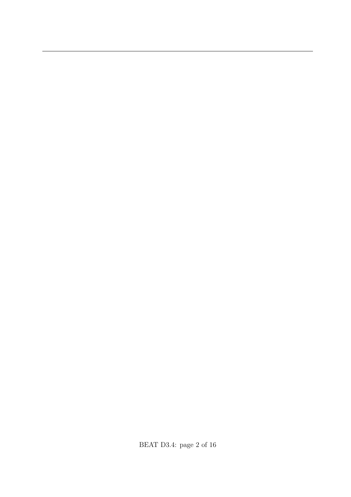BEAT D3.4: page 2 of 16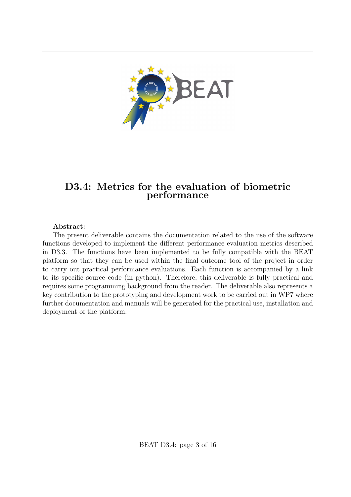

#### D3.4: Metrics for the evaluation of biometric performance

#### Abstract:

The present deliverable contains the documentation related to the use of the software functions developed to implement the different performance evaluation metrics described in D3.3. The functions have been implemented to be fully compatible with the BEAT platform so that they can be used within the final outcome tool of the project in order to carry out practical performance evaluations. Each function is accompanied by a link to its specific source code (in python). Therefore, this deliverable is fully practical and requires some programming background from the reader. The deliverable also represents a key contribution to the prototyping and development work to be carried out in WP7 where further documentation and manuals will be generated for the practical use, installation and deployment of the platform.

BEAT D3.4: page 3 of 16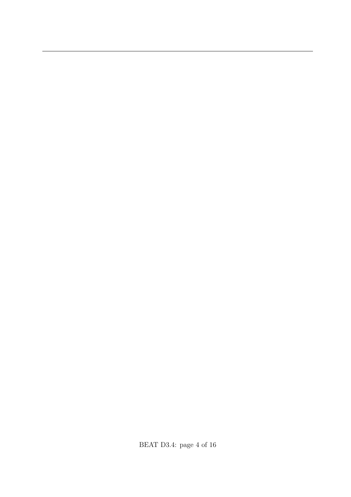BEAT D3.4: page 4 of 16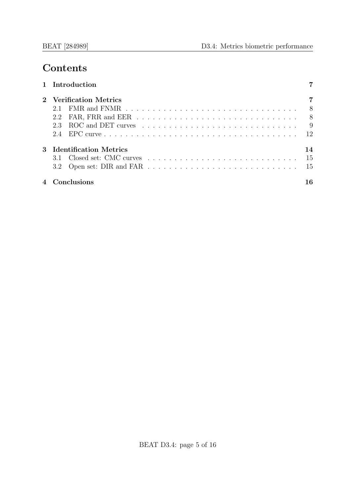## Contents

| 1 Introduction           |                |
|--------------------------|----------------|
| 2 Verification Metrics   |                |
|                          |                |
|                          |                |
|                          | $\overline{9}$ |
| 2.4                      |                |
| 3 Identification Metrics | 14             |
|                          | -15            |
|                          | -15            |
| Conclusions              |                |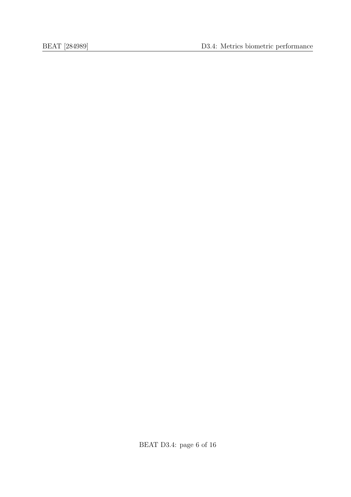BEAT D3.4: page 6 of 16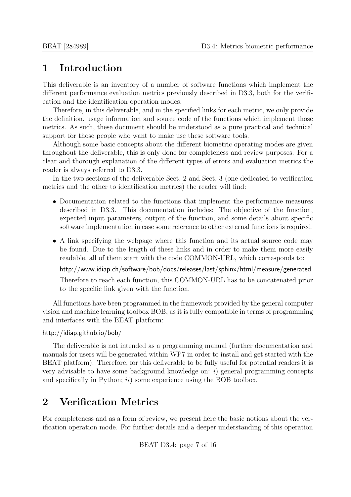### 1 Introduction

This deliverable is an inventory of a number of software functions which implement the different performance evaluation metrics previously described in D3.3, both for the verification and the identification operation modes.

Therefore, in this deliverable, and in the specified links for each metric, we only provide the definition, usage information and source code of the functions which implement those metrics. As such, these document should be understood as a pure practical and technical support for those people who want to make use these software tools.

Although some basic concepts about the different biometric operating modes are given throughout the deliverable, this is only done for completeness and review purposes. For a clear and thorough explanation of the different types of errors and evaluation metrics the reader is always referred to D3.3.

In the two sections of the deliverable Sect. 2 and Sect. 3 (one dedicated to verification metrics and the other to identification metrics) the reader will find:

- Documentation related to the functions that implement the performance measures described in D3.3. This documentation includes: The objective of the function, expected input parameters, output of the function, and some details about specific software implementation in case some reference to other external functions is required.
- A link specifying the webpage where this function and its actual source code may be found. Due to the length of these links and in order to make them more easily readable, all of them start with the code COMMON-URL, which corresponds to:

http://www.idiap.ch/software/bob/docs/releases/last/sphinx/html/measure/generated

Therefore to reach each function, this COMMON-URL has to be concatenated prior to the specific link given with the function.

All functions have been programmed in the framework provided by the general computer vision and machine learning toolbox BOB, as it is fully compatible in terms of programming and interfaces with the BEAT platform:

http://idiap.github.io/bob/

The deliverable is not intended as a programming manual (further documentation and manuals for users will be generated within WP7 in order to install and get started with the BEAT platform). Therefore, for this deliverable to be fully useful for potential readers it is very advisable to have some background knowledge on:  $i)$  general programming concepts and specifically in Python;  $ii)$  some experience using the BOB toolbox.

## 2 Verification Metrics

For completeness and as a form of review, we present here the basic notions about the verification operation mode. For further details and a deeper understanding of this operation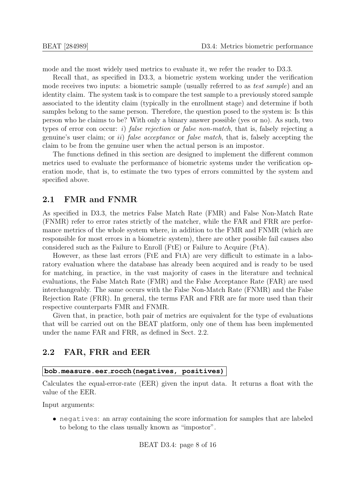mode and the most widely used metrics to evaluate it, we refer the reader to D3.3.

Recall that, as specified in D3.3, a biometric system working under the verification mode receives two inputs: a biometric sample (usually referred to as *test sample*) and an identity claim. The system task is to compare the test sample to a previously stored sample associated to the identity claim (typically in the enrollment stage) and determine if both samples belong to the same person. Therefore, the question posed to the system is: Is this person who he claims to be? With only a binary answer possible (yes or no). As such, two types of error con occur: i) false rejection or false non-match, that is, falsely rejecting a genuine's user claim; or *ii*) false acceptance or false match, that is, falsely accepting the claim to be from the genuine user when the actual person is an impostor.

The functions defined in this section are designed to implement the different common metrics used to evaluate the performance of biometric systems under the verification operation mode, that is, to estimate the two types of errors committed by the system and specified above.

#### 2.1 FMR and FNMR

As specified in D3.3, the metrics False Match Rate (FMR) and False Non-Match Rate (FNMR) refer to error rates strictly of the matcher, while the FAR and FRR are performance metrics of the whole system where, in addition to the FMR and FNMR (which are responsible for most errors in a biometric system), there are other possible fail causes also considered such as the Failure to Enroll (FtE) or Failure to Acquire (FtA).

However, as these last errors (FtE and FtA) are very difficult to estimate in a laboratory evaluation where the database has already been acquired and is ready to be used for matching, in practice, in the vast majority of cases in the literature and technical evaluations, the False Match Rate (FMR) and the False Acceptance Rate (FAR) are used interchangeably. The same occurs with the False Non-Match Rate (FNMR) and the False Rejection Rate (FRR). In general, the terms FAR and FRR are far more used than their respective counterparts FMR and FNMR.

Given that, in practice, both pair of metrics are equivalent for the type of evaluations that will be carried out on the BEAT platform, only one of them has been implemented under the name FAR and FRR, as defined in Sect. 2.2.

#### 2.2 FAR, FRR and EER

#### **bob.measure.eer rocch(negatives, positives)**

Calculates the equal-error-rate (EER) given the input data. It returns a float with the value of the EER.

Input arguments:

• negatives: an array containing the score information for samples that are labeled to belong to the class usually known as "impostor".

BEAT D3.4: page 8 of 16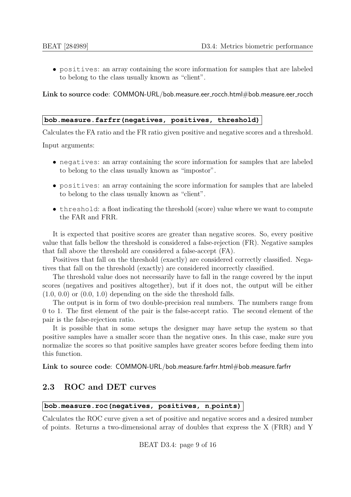• positives: an array containing the score information for samples that are labeled to belong to the class usually known as "client".

Link to source code: COMMON-URL/bob.measure.eer\_rocch.html#bob.measure.eer\_rocch

#### **bob.measure.farfrr(negatives, positives, threshold)**

Calculates the FA ratio and the FR ratio given positive and negative scores and a threshold.

Input arguments:

- negatives: an array containing the score information for samples that are labeled to belong to the class usually known as "impostor".
- positives: an array containing the score information for samples that are labeled to belong to the class usually known as "client".
- threshold: a float indicating the threshold (score) value where we want to compute the FAR and FRR.

It is expected that positive scores are greater than negative scores. So, every positive value that falls bellow the threshold is considered a false-rejection (FR). Negative samples that fall above the threshold are considered a false-accept (FA).

Positives that fall on the threshold (exactly) are considered correctly classified. Negatives that fall on the threshold (exactly) are considered incorrectly classified.

The threshold value does not necessarily have to fall in the range covered by the input scores (negatives and positives altogether), but if it does not, the output will be either  $(1.0, 0.0)$  or  $(0.0, 1.0)$  depending on the side the threshold falls.

The output is in form of two double-precision real numbers. The numbers range from 0 to 1. The first element of the pair is the false-accept ratio. The second element of the pair is the false-rejection ratio.

It is possible that in some setups the designer may have setup the system so that positive samples have a smaller score than the negative ones. In this case, make sure you normalize the scores so that positive samples have greater scores before feeding them into this function.

Link to source code: COMMON-URL/bob.measure.farfrr.html#bob.measure.farfrr

#### 2.3 ROC and DET curves

#### **bob.measure.roc(negatives, positives, n points)**

Calculates the ROC curve given a set of positive and negative scores and a desired number of points. Returns a two-dimensional array of doubles that express the X (FRR) and Y

BEAT D3.4: page 9 of 16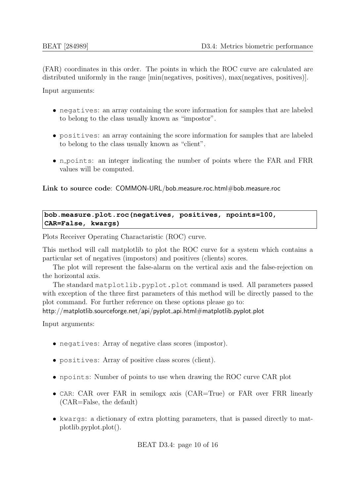(FAR) coordinates in this order. The points in which the ROC curve are calculated are distributed uniformly in the range [min(negatives, positives), max(negatives, positives)].

Input arguments:

- negatives: an array containing the score information for samples that are labeled to belong to the class usually known as "impostor".
- positives: an array containing the score information for samples that are labeled to belong to the class usually known as "client".
- n points: an integer indicating the number of points where the FAR and FRR values will be computed.

Link to source code: COMMON-URL/bob.measure.roc.html#bob.measure.roc

#### **bob.measure.plot.roc(negatives, positives, npoints=100, CAR=False, kwargs)**

Plots Receiver Operating Charactaristic (ROC) curve.

This method will call matplotlib to plot the ROC curve for a system which contains a particular set of negatives (impostors) and positives (clients) scores.

The plot will represent the false-alarm on the vertical axis and the false-rejection on the horizontal axis.

The standard matplotlib.pyplot.plot command is used. All parameters passed with exception of the three first parameters of this method will be directly passed to the plot command. For further reference on these options please go to:

http://matplotlib.sourceforge.net/api/pyplot api.html#matplotlib.pyplot.plot

Input arguments:

- negatives: Array of negative class scores (impostor).
- positives: Array of positive class scores (client).
- npoints: Number of points to use when drawing the ROC curve CAR plot
- CAR: CAR over FAR in semilogx axis (CAR=True) or FAR over FRR linearly (CAR=False, the default)
- kwargs: a dictionary of extra plotting parameters, that is passed directly to matplotlib.pyplot.plot().

BEAT D3.4: page 10 of 16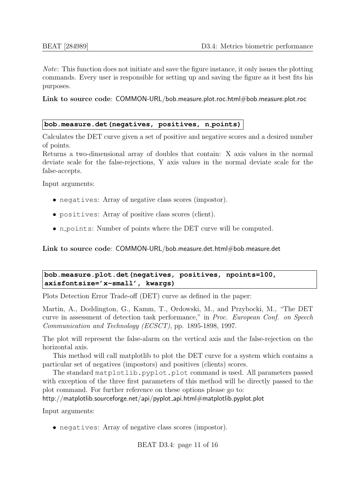Note: This function does not initiate and save the figure instance, it only issues the plotting commands. Every user is responsible for setting up and saving the figure as it best fits his purposes.

Link to source code: COMMON-URL/bob.measure.plot.roc.html#bob.measure.plot.roc

#### **bob.measure.det(negatives, positives, n points)**

Calculates the DET curve given a set of positive and negative scores and a desired number of points.

Returns a two-dimensional array of doubles that contain: X axis values in the normal deviate scale for the false-rejections, Y axis values in the normal deviate scale for the false-accepts.

Input arguments:

- negatives: Array of negative class scores (impostor).
- positives: Array of positive class scores (client).
- n points: Number of points where the DET curve will be computed.

Link to source code: COMMON-URL/bob.measure.det.html#bob.measure.det

```
bob.measure.plot.det(negatives, positives, npoints=100,
axisfontsize='x-small', kwargs)
```
Plots Detection Error Trade-off (DET) curve as defined in the paper:

Martin, A., Doddington, G., Kamm, T., Ordowski, M., and Przybocki, M., "The DET curve in assessment of detection task performance," in Proc. European Conf. on Speech Communication and Technology (ECSCT), pp. 1895-1898, 1997.

The plot will represent the false-alarm on the vertical axis and the false-rejection on the horizontal axis.

This method will call matplotlib to plot the DET curve for a system which contains a particular set of negatives (impostors) and positives (clients) scores.

The standard matplotlib.pyplot.plot command is used. All parameters passed with exception of the three first parameters of this method will be directly passed to the plot command. For further reference on these options please go to: http://matplotlib.sourceforge.net/api/pyplot api.html#matplotlib.pyplot.plot

Input arguments:

• negatives: Array of negative class scores (impostor).

BEAT D3.4: page 11 of 16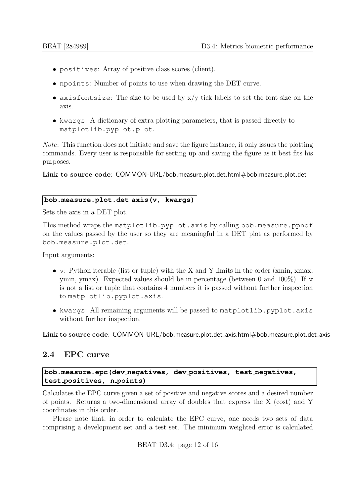- positives: Array of positive class scores (client).
- npoints: Number of points to use when drawing the DET curve.
- axisfontsize: The size to be used by  $x/y$  tick labels to set the font size on the axis.
- kwargs: A dictionary of extra plotting parameters, that is passed directly to matplotlib.pyplot.plot.

Note: This function does not initiate and save the figure instance, it only issues the plotting commands. Every user is responsible for setting up and saving the figure as it best fits his purposes.

Link to source code: COMMON-URL/bob.measure.plot.det.html#bob.measure.plot.det

#### **bob.measure.plot.det axis(v, kwargs)**

Sets the axis in a DET plot.

This method wraps the matplotlib.pyplot.axis by calling bob.measure.ppndf on the values passed by the user so they are meaningful in a DET plot as performed by bob.measure.plot.det.

Input arguments:

- v: Python iterable (list or tuple) with the X and Y limits in the order (xmin, xmax, ymin, ymax). Expected values should be in percentage (between 0 and  $100\%$ ). If v is not a list or tuple that contains 4 numbers it is passed without further inspection to matplotlib.pyplot.axis.
- kwargs: All remaining arguments will be passed to matplotlib.pyplot.axis without further inspection.

Link to source code: COMMON-URL/bob.measure.plot.det\_axis.html#bob.measure.plot.det\_axis

#### 2.4 EPC curve

#### **bob.measure.epc(dev negatives, dev positives, test negatives, test positives, n points)**

Calculates the EPC curve given a set of positive and negative scores and a desired number of points. Returns a two-dimensional array of doubles that express the X (cost) and Y coordinates in this order.

Please note that, in order to calculate the EPC curve, one needs two sets of data comprising a development set and a test set. The minimum weighted error is calculated

BEAT D3.4: page 12 of 16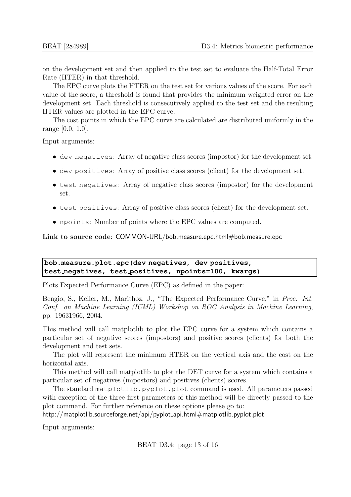on the development set and then applied to the test set to evaluate the Half-Total Error Rate (HTER) in that threshold.

The EPC curve plots the HTER on the test set for various values of the score. For each value of the score, a threshold is found that provides the minimum weighted error on the development set. Each threshold is consecutively applied to the test set and the resulting HTER values are plotted in the EPC curve.

The cost points in which the EPC curve are calculated are distributed uniformly in the range [0.0, 1.0].

Input arguments:

- dev negatives: Array of negative class scores (impostor) for the development set.
- dev positives: Array of positive class scores (client) for the development set.
- test negatives: Array of negative class scores (impostor) for the development set.
- test positives: Array of positive class scores (client) for the development set.
- npoints: Number of points where the EPC values are computed.

Link to source code: COMMON-URL/bob.measure.epc.html#bob.measure.epc

**bob.measure.plot.epc(dev negatives, dev positives, test negatives, test positives, npoints=100, kwargs)**

Plots Expected Performance Curve (EPC) as defined in the paper:

Bengio, S., Keller, M., Marithoz, J., "The Expected Performance Curve," in Proc. Int. Conf. on Machine Learning (ICML) Workshop on ROC Analysis in Machine Learning, pp. 19631966, 2004.

This method will call matplotlib to plot the EPC curve for a system which contains a particular set of negative scores (impostors) and positive scores (clients) for both the development and test sets.

The plot will represent the minimum HTER on the vertical axis and the cost on the horizontal axis.

This method will call matplotlib to plot the DET curve for a system which contains a particular set of negatives (impostors) and positives (clients) scores.

The standard matplotlib.pyplot.plot command is used. All parameters passed with exception of the three first parameters of this method will be directly passed to the plot command. For further reference on these options please go to:

http://matplotlib.sourceforge.net/api/pyplot api.html#matplotlib.pyplot.plot

Input arguments: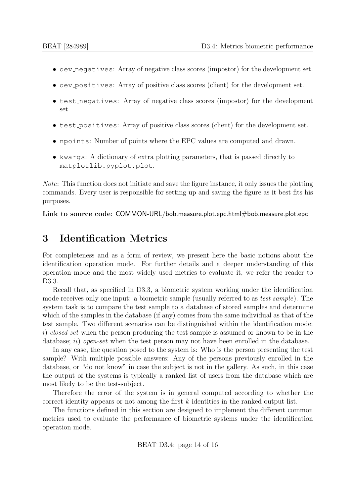- dev negatives: Array of negative class scores (impostor) for the development set.
- dev positives: Array of positive class scores (client) for the development set.
- test negatives: Array of negative class scores (impostor) for the development set.
- test positives: Array of positive class scores (client) for the development set.
- npoints: Number of points where the EPC values are computed and drawn.
- kwargs: A dictionary of extra plotting parameters, that is passed directly to matplotlib.pyplot.plot.

Note: This function does not initiate and save the figure instance, it only issues the plotting commands. Every user is responsible for setting up and saving the figure as it best fits his purposes.

Link to source code: COMMON-URL/bob.measure.plot.epc.html#bob.measure.plot.epc

#### 3 Identification Metrics

For completeness and as a form of review, we present here the basic notions about the identification operation mode. For further details and a deeper understanding of this operation mode and the most widely used metrics to evaluate it, we refer the reader to D3.3.

Recall that, as specified in D3.3, a biometric system working under the identification mode receives only one input: a biometric sample (usually referred to as test sample). The system task is to compare the test sample to a database of stored samples and determine which of the samples in the database (if any) comes from the same individual as that of the test sample. Two different scenarios can be distinguished within the identification mode: i) closed-set when the person producing the test sample is assumed or known to be in the database; *ii*) *open-set* when the test person may not have been enrolled in the database.

In any case, the question posed to the system is: Who is the person presenting the test sample? With multiple possible answers: Any of the persons previously enrolled in the database, or "do not know" in case the subject is not in the gallery. As such, in this case the output of the systems is typically a ranked list of users from the database which are most likely to be the test-subject.

Therefore the error of the system is in general computed according to whether the correct identity appears or not among the first  $k$  identities in the ranked output list.

The functions defined in this section are designed to implement the different common metrics used to evaluate the performance of biometric systems under the identification operation mode.

BEAT D3.4: page 14 of 16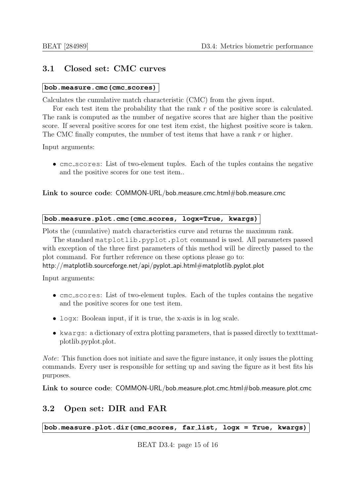#### 3.1 Closed set: CMC curves

#### **bob.measure.cmc(cmc scores)**

Calculates the cumulative match characteristic (CMC) from the given input.

For each test item the probability that the rank r of the positive score is calculated. The rank is computed as the number of negative scores that are higher than the positive score. If several positive scores for one test item exist, the highest positive score is taken. The CMC finally computes, the number of test items that have a rank r or higher.

Input arguments:

• cmc\_scores: List of two-element tuples. Each of the tuples contains the negative and the positive scores for one test item..

#### Link to source code: COMMON-URL/bob.measure.cmc.html#bob.measure.cmc

#### **bob.measure.plot.cmc(cmc scores, logx=True, kwargs)**

Plots the (cumulative) match characteristics curve and returns the maximum rank.

The standard matplotlib.pyplot.plot command is used. All parameters passed with exception of the three first parameters of this method will be directly passed to the plot command. For further reference on these options please go to:

http://matplotlib.sourceforge.net/api/pyplot api.html#matplotlib.pyplot.plot

Input arguments:

- cmc\_scores: List of two-element tuples. Each of the tuples contains the negative and the positive scores for one test item.
- logx: Boolean input, if it is true, the x-axis is in log scale.
- kwargs: a dictionary of extra plotting parameters, that is passed directly to textttmatplotlib.pyplot.plot.

Note: This function does not initiate and save the figure instance, it only issues the plotting commands. Every user is responsible for setting up and saving the figure as it best fits his purposes.

Link to source code: COMMON-URL/bob.measure.plot.cmc.html#bob.measure.plot.cmc

#### 3.2 Open set: DIR and FAR

**bob.measure.plot.dir(cmc scores, far list, logx = True, kwargs)**

BEAT D3.4: page 15 of 16